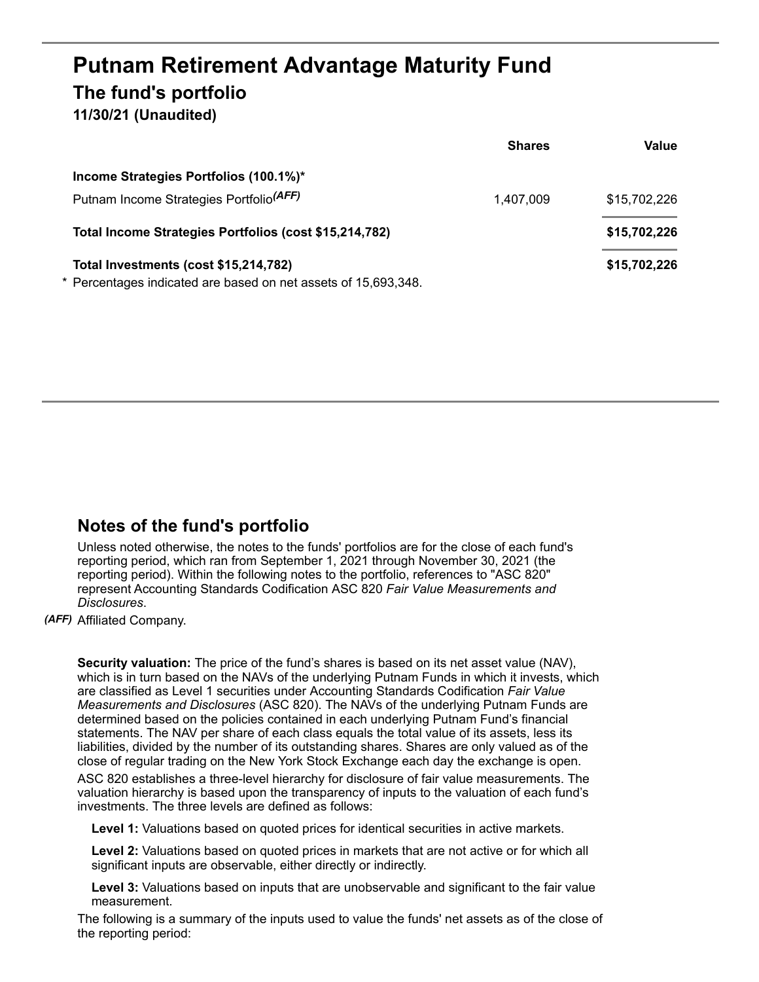## **Putnam Retirement Advantage Maturity Fund The fund's portfolio**

**11/30/21 (Unaudited)**

|                                                                | <b>Shares</b> | Value        |
|----------------------------------------------------------------|---------------|--------------|
| Income Strategies Portfolios (100.1%)*                         |               |              |
| Putnam Income Strategies Portfolio <sup>(AFF)</sup>            | 1,407,009     | \$15,702,226 |
| Total Income Strategies Portfolios (cost \$15,214,782)         |               | \$15,702,226 |
| Total Investments (cost \$15,214,782)                          |               | \$15,702,226 |
| * Percentages indicated are based on net assets of 15,693,348. |               |              |

## **Notes of the fund's portfolio**

Unless noted otherwise, the notes to the funds' portfolios are for the close of each fund's reporting period, which ran from September 1, 2021 through November 30, 2021 (the reporting period). Within the following notes to the portfolio, references to "ASC 820" represent Accounting Standards Codification ASC 820 *Fair Value Measurements and Disclosures*.

*(AFF)* Affiliated Company.

**Security valuation:** The price of the fund's shares is based on its net asset value (NAV), which is in turn based on the NAVs of the underlying Putnam Funds in which it invests, which are classified as Level 1 securities under Accounting Standards Codification *Fair Value Measurements and Disclosures* (ASC 820). The NAVs of the underlying Putnam Funds are determined based on the policies contained in each underlying Putnam Fund's financial statements. The NAV per share of each class equals the total value of its assets, less its liabilities, divided by the number of its outstanding shares. Shares are only valued as of the close of regular trading on the New York Stock Exchange each day the exchange is open.

ASC 820 establishes a three-level hierarchy for disclosure of fair value measurements. The valuation hierarchy is based upon the transparency of inputs to the valuation of each fund's investments. The three levels are defined as follows:

**Level 1:** Valuations based on quoted prices for identical securities in active markets.

**Level 2:** Valuations based on quoted prices in markets that are not active or for which all significant inputs are observable, either directly or indirectly.

**Level 3:** Valuations based on inputs that are unobservable and significant to the fair value measurement.

The following is a summary of the inputs used to value the funds' net assets as of the close of the reporting period: